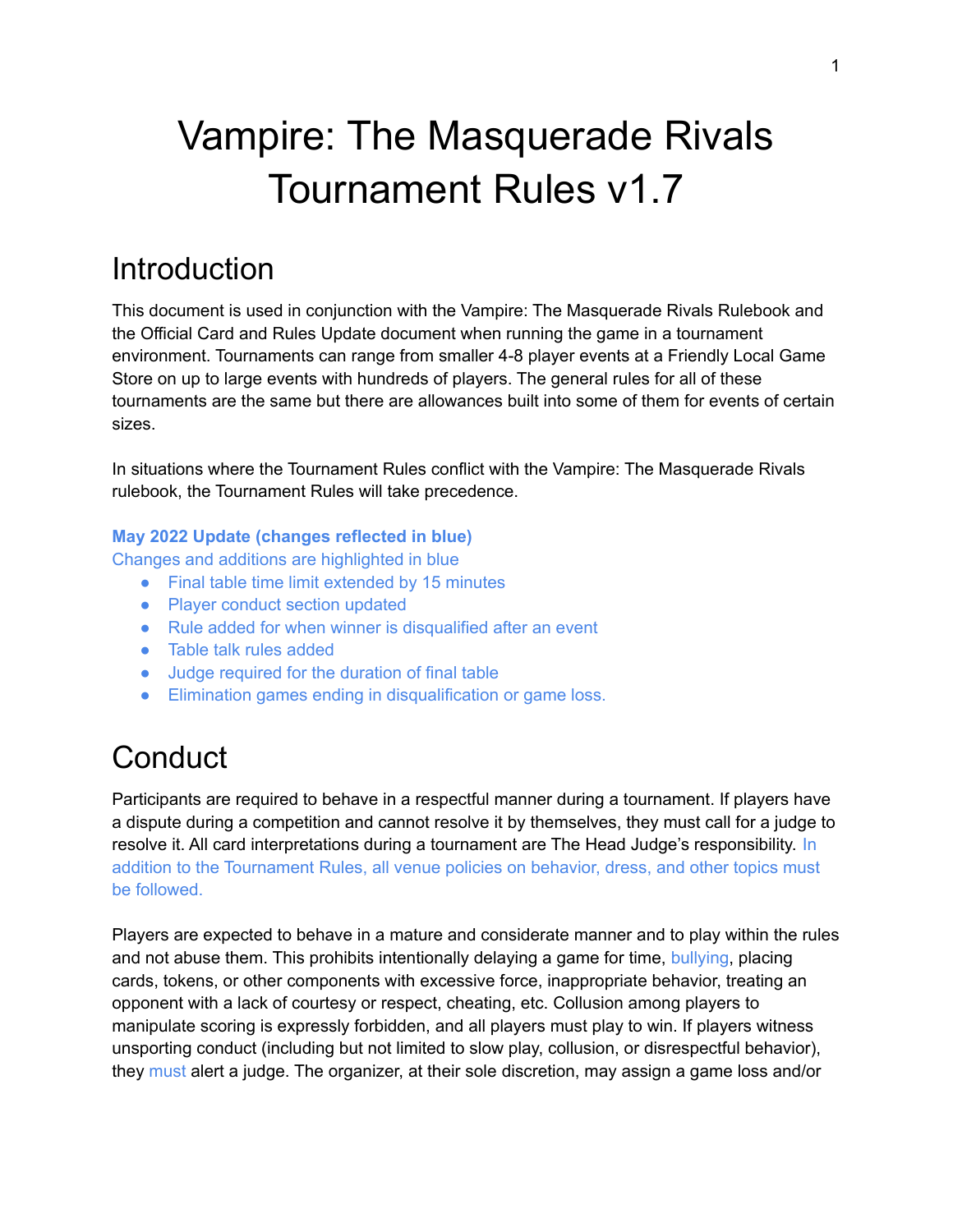# Vampire: The Masquerade Rivals Tournament Rules v1.7

## **Introduction**

This document is used in conjunction with the Vampire: The Masquerade Rivals Rulebook and the Official Card and Rules Update document when running the game in a tournament environment. Tournaments can range from smaller 4-8 player events at a Friendly Local Game Store on up to large events with hundreds of players. The general rules for all of these tournaments are the same but there are allowances built into some of them for events of certain sizes.

In situations where the Tournament Rules conflict with the Vampire: The Masquerade Rivals rulebook, the Tournament Rules will take precedence.

#### **May 2022 Update (changes reflected in blue)**

Changes and additions are highlighted in blue

- Final table time limit extended by 15 minutes
- Player conduct section updated
- Rule added for when winner is disqualified after an event
- Table talk rules added
- Judge required for the duration of final table
- Elimination games ending in disqualification or game loss.

## **Conduct**

Participants are required to behave in a respectful manner during a tournament. If players have a dispute during a competition and cannot resolve it by themselves, they must call for a judge to resolve it. All card interpretations during a tournament are The Head Judge's responsibility. In addition to the Tournament Rules, all venue policies on behavior, dress, and other topics must be followed.

Players are expected to behave in a mature and considerate manner and to play within the rules and not abuse them. This prohibits intentionally delaying a game for time, bullying, placing cards, tokens, or other components with excessive force, inappropriate behavior, treating an opponent with a lack of courtesy or respect, cheating, etc. Collusion among players to manipulate scoring is expressly forbidden, and all players must play to win. If players witness unsporting conduct (including but not limited to slow play, collusion, or disrespectful behavior), they must alert a judge. The organizer, at their sole discretion, may assign a game loss and/or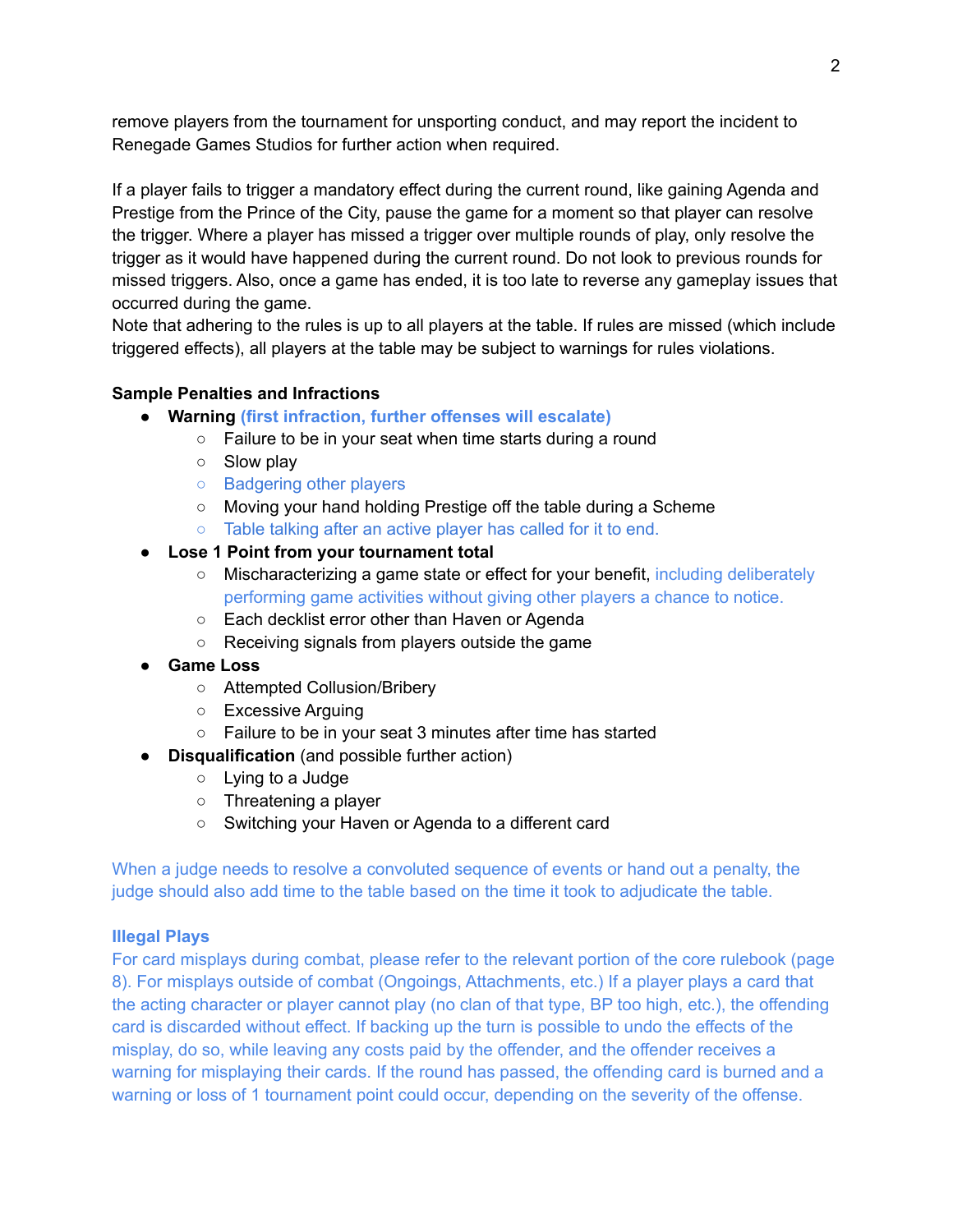remove players from the tournament for unsporting conduct, and may report the incident to Renegade Games Studios for further action when required.

If a player fails to trigger a mandatory effect during the current round, like gaining Agenda and Prestige from the Prince of the City, pause the game for a moment so that player can resolve the trigger. Where a player has missed a trigger over multiple rounds of play, only resolve the trigger as it would have happened during the current round. Do not look to previous rounds for missed triggers. Also, once a game has ended, it is too late to reverse any gameplay issues that occurred during the game.

Note that adhering to the rules is up to all players at the table. If rules are missed (which include triggered effects), all players at the table may be subject to warnings for rules violations.

#### **Sample Penalties and Infractions**

- **● Warning (first infraction, further offenses will escalate)**
	- Failure to be in your seat when time starts during a round
	- Slow play
	- Badgering other players
	- Moving your hand holding Prestige off the table during a Scheme
	- Table talking after an active player has called for it to end.
- **Lose 1 Point from your tournament total**
	- Mischaracterizing a game state or effect for your benefit, including deliberately performing game activities without giving other players a chance to notice.
	- Each decklist error other than Haven or Agenda
	- Receiving signals from players outside the game
- **● Game Loss**
	- Attempted Collusion/Bribery
	- Excessive Arguing
	- Failure to be in your seat 3 minutes after time has started
- **Disqualification** (and possible further action)
	- Lying to a Judge
	- Threatening a player
	- Switching your Haven or Agenda to a different card

When a judge needs to resolve a convoluted sequence of events or hand out a penalty, the judge should also add time to the table based on the time it took to adjudicate the table.

#### **Illegal Plays**

For card misplays during combat, please refer to the relevant portion of the core rulebook (page 8). For misplays outside of combat (Ongoings, Attachments, etc.) If a player plays a card that the acting character or player cannot play (no clan of that type, BP too high, etc.), the offending card is discarded without effect. If backing up the turn is possible to undo the effects of the misplay, do so, while leaving any costs paid by the offender, and the offender receives a warning for misplaying their cards. If the round has passed, the offending card is burned and a warning or loss of 1 tournament point could occur, depending on the severity of the offense.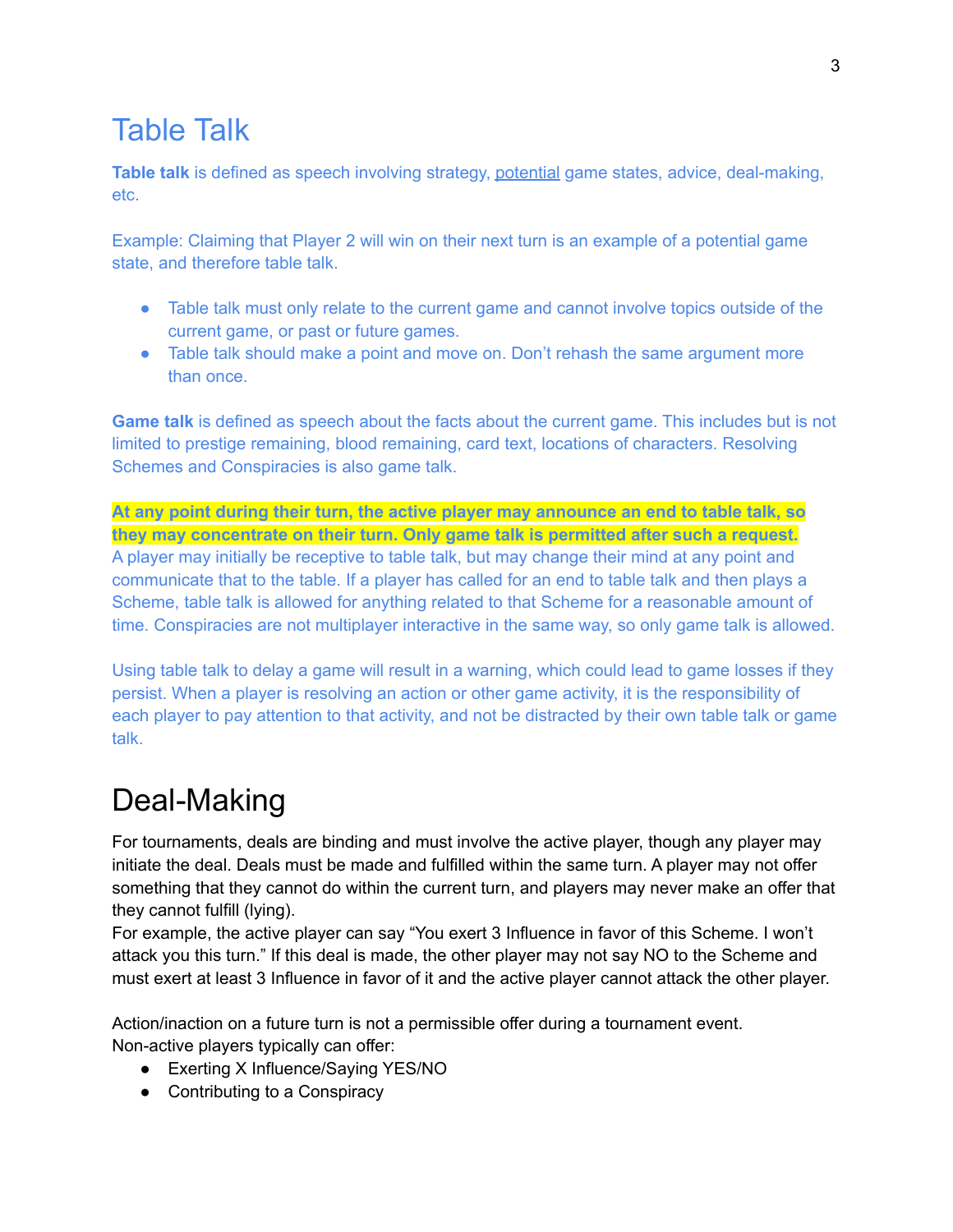### Table Talk

**Table talk** is defined as speech involving strategy, potential game states, advice, deal-making, etc.

Example: Claiming that Player 2 will win on their next turn is an example of a potential game state, and therefore table talk.

- Table talk must only relate to the current game and cannot involve topics outside of the current game, or past or future games.
- Table talk should make a point and move on. Don't rehash the same argument more than once.

**Game talk** is defined as speech about the facts about the current game. This includes but is not limited to prestige remaining, blood remaining, card text, locations of characters. Resolving Schemes and Conspiracies is also game talk.

**At any point during their turn, the active player may announce an end to table talk, so they may concentrate on their turn. Only game talk is permitted after such a request.** A player may initially be receptive to table talk, but may change their mind at any point and communicate that to the table. If a player has called for an end to table talk and then plays a Scheme, table talk is allowed for anything related to that Scheme for a reasonable amount of time. Conspiracies are not multiplayer interactive in the same way, so only game talk is allowed.

Using table talk to delay a game will result in a warning, which could lead to game losses if they persist. When a player is resolving an action or other game activity, it is the responsibility of each player to pay attention to that activity, and not be distracted by their own table talk or game talk.

## Deal-Making

For tournaments, deals are binding and must involve the active player, though any player may initiate the deal. Deals must be made and fulfilled within the same turn. A player may not offer something that they cannot do within the current turn, and players may never make an offer that they cannot fulfill (lying).

For example, the active player can say "You exert 3 Influence in favor of this Scheme. I won't attack you this turn." If this deal is made, the other player may not say NO to the Scheme and must exert at least 3 Influence in favor of it and the active player cannot attack the other player.

Action/inaction on a future turn is not a permissible offer during a tournament event. Non-active players typically can offer:

- Exerting X Influence/Saying YES/NO
- Contributing to a Conspiracy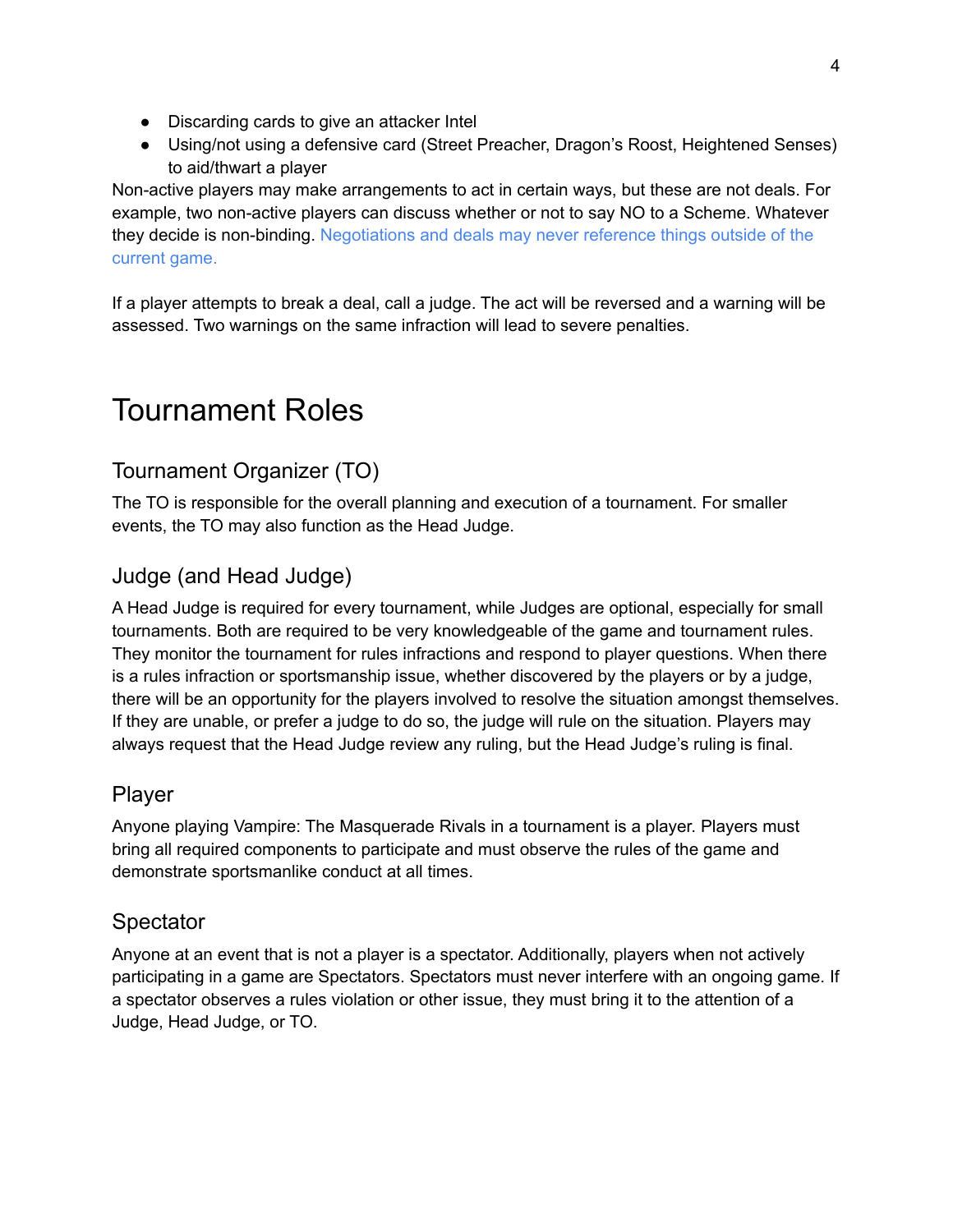- Discarding cards to give an attacker Intel
- Using/not using a defensive card (Street Preacher, Dragon's Roost, Heightened Senses) to aid/thwart a player

Non-active players may make arrangements to act in certain ways, but these are not deals. For example, two non-active players can discuss whether or not to say NO to a Scheme. Whatever they decide is non-binding. Negotiations and deals may never reference things outside of the current game.

If a player attempts to break a deal, call a judge. The act will be reversed and a warning will be assessed. Two warnings on the same infraction will lead to severe penalties.

## Tournament Roles

### Tournament Organizer (TO)

The TO is responsible for the overall planning and execution of a tournament. For smaller events, the TO may also function as the Head Judge.

### Judge (and Head Judge)

A Head Judge is required for every tournament, while Judges are optional, especially for small tournaments. Both are required to be very knowledgeable of the game and tournament rules. They monitor the tournament for rules infractions and respond to player questions. When there is a rules infraction or sportsmanship issue, whether discovered by the players or by a judge, there will be an opportunity for the players involved to resolve the situation amongst themselves. If they are unable, or prefer a judge to do so, the judge will rule on the situation. Players may always request that the Head Judge review any ruling, but the Head Judge's ruling is final.

#### Player

Anyone playing Vampire: The Masquerade Rivals in a tournament is a player. Players must bring all required components to participate and must observe the rules of the game and demonstrate sportsmanlike conduct at all times.

### **Spectator**

Anyone at an event that is not a player is a spectator. Additionally, players when not actively participating in a game are Spectators. Spectators must never interfere with an ongoing game. If a spectator observes a rules violation or other issue, they must bring it to the attention of a Judge, Head Judge, or TO.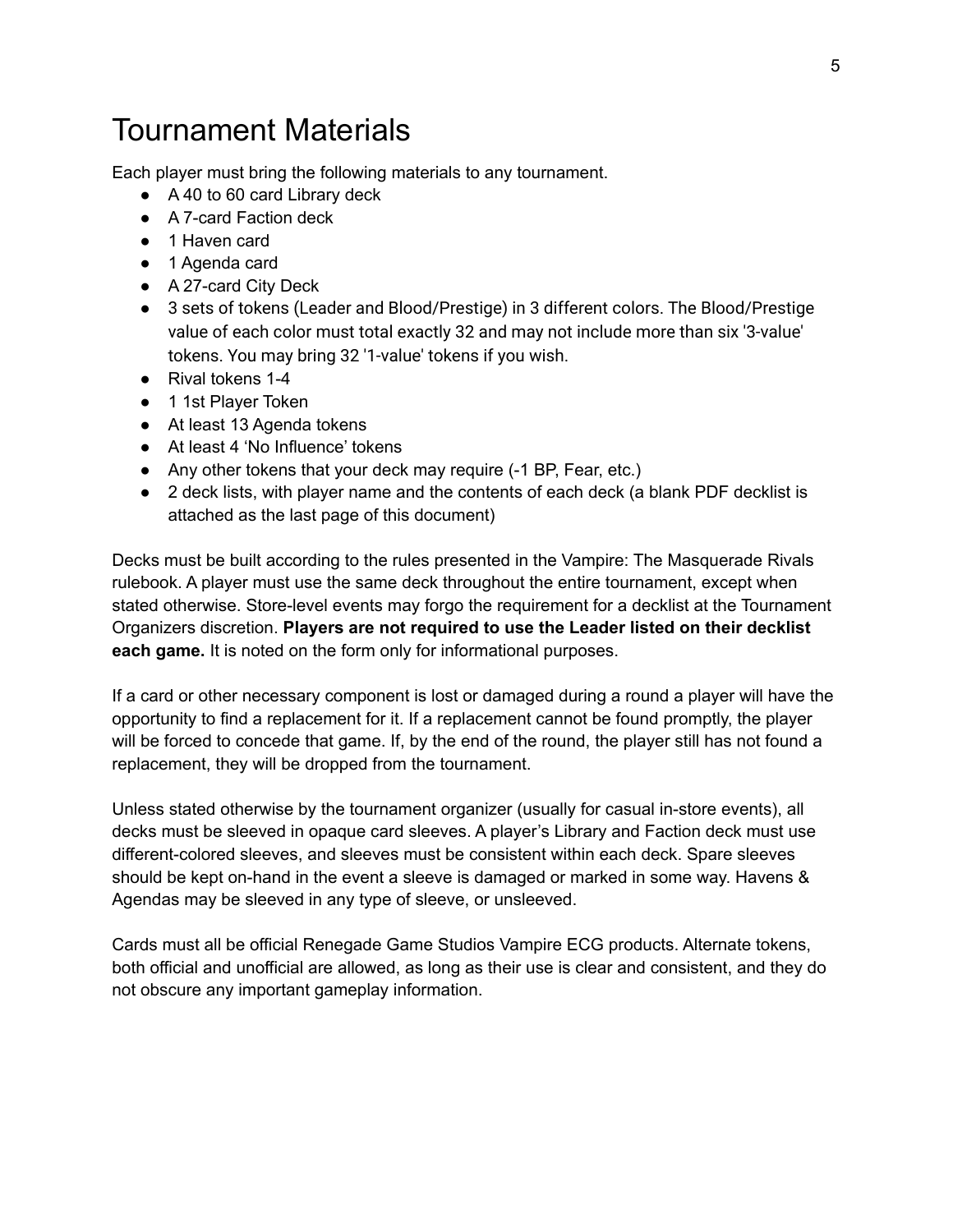### Tournament Materials

Each player must bring the following materials to any tournament.

- A 40 to 60 card Library deck
- A 7-card Faction deck
- 1 Haven card
- 1 Agenda card
- A 27-card City Deck
- 3 sets of tokens (Leader and Blood/Prestige) in 3 different colors. The Blood/Prestige value of each color must total exactly 32 and may not include more than six '3-value' tokens. You may bring 32 '1-value' tokens if you wish.
- Rival tokens 1-4
- 1 1st Player Token
- At least 13 Agenda tokens
- At least 4 'No Influence' tokens
- Any other tokens that your deck may require (-1 BP, Fear, etc.)
- 2 deck lists, with player name and the contents of each deck (a blank PDF decklist is attached as the last page of this document)

Decks must be built according to the rules presented in the Vampire: The Masquerade Rivals rulebook. A player must use the same deck throughout the entire tournament, except when stated otherwise. Store-level events may forgo the requirement for a decklist at the Tournament Organizers discretion. **Players are not required to use the Leader listed on their decklist each game.** It is noted on the form only for informational purposes.

If a card or other necessary component is lost or damaged during a round a player will have the opportunity to find a replacement for it. If a replacement cannot be found promptly, the player will be forced to concede that game. If, by the end of the round, the player still has not found a replacement, they will be dropped from the tournament.

Unless stated otherwise by the tournament organizer (usually for casual in-store events), all decks must be sleeved in opaque card sleeves. A player's Library and Faction deck must use different-colored sleeves, and sleeves must be consistent within each deck. Spare sleeves should be kept on-hand in the event a sleeve is damaged or marked in some way. Havens & Agendas may be sleeved in any type of sleeve, or unsleeved.

Cards must all be official Renegade Game Studios Vampire ECG products. Alternate tokens, both official and unofficial are allowed, as long as their use is clear and consistent, and they do not obscure any important gameplay information.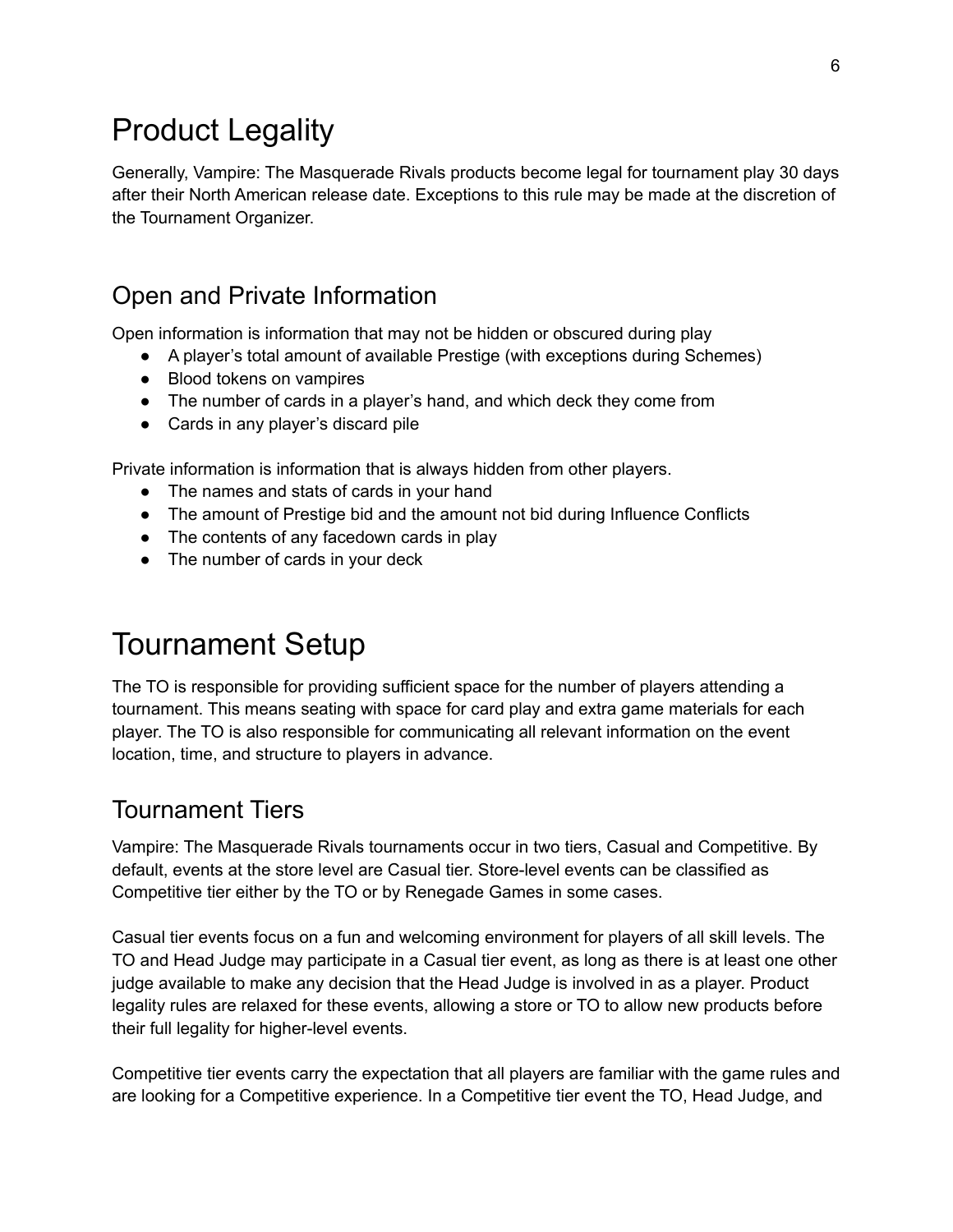## Product Legality

Generally, Vampire: The Masquerade Rivals products become legal for tournament play 30 days after their North American release date. Exceptions to this rule may be made at the discretion of the Tournament Organizer.

### Open and Private Information

Open information is information that may not be hidden or obscured during play

- A player's total amount of available Prestige (with exceptions during Schemes)
- Blood tokens on vampires
- The number of cards in a player's hand, and which deck they come from
- Cards in any player's discard pile

Private information is information that is always hidden from other players.

- The names and stats of cards in your hand
- The amount of Prestige bid and the amount not bid during Influence Conflicts
- The contents of any facedown cards in play
- The number of cards in your deck

## Tournament Setup

The TO is responsible for providing sufficient space for the number of players attending a tournament. This means seating with space for card play and extra game materials for each player. The TO is also responsible for communicating all relevant information on the event location, time, and structure to players in advance.

### Tournament Tiers

Vampire: The Masquerade Rivals tournaments occur in two tiers, Casual and Competitive. By default, events at the store level are Casual tier. Store-level events can be classified as Competitive tier either by the TO or by Renegade Games in some cases.

Casual tier events focus on a fun and welcoming environment for players of all skill levels. The TO and Head Judge may participate in a Casual tier event, as long as there is at least one other judge available to make any decision that the Head Judge is involved in as a player. Product legality rules are relaxed for these events, allowing a store or TO to allow new products before their full legality for higher-level events.

Competitive tier events carry the expectation that all players are familiar with the game rules and are looking for a Competitive experience. In a Competitive tier event the TO, Head Judge, and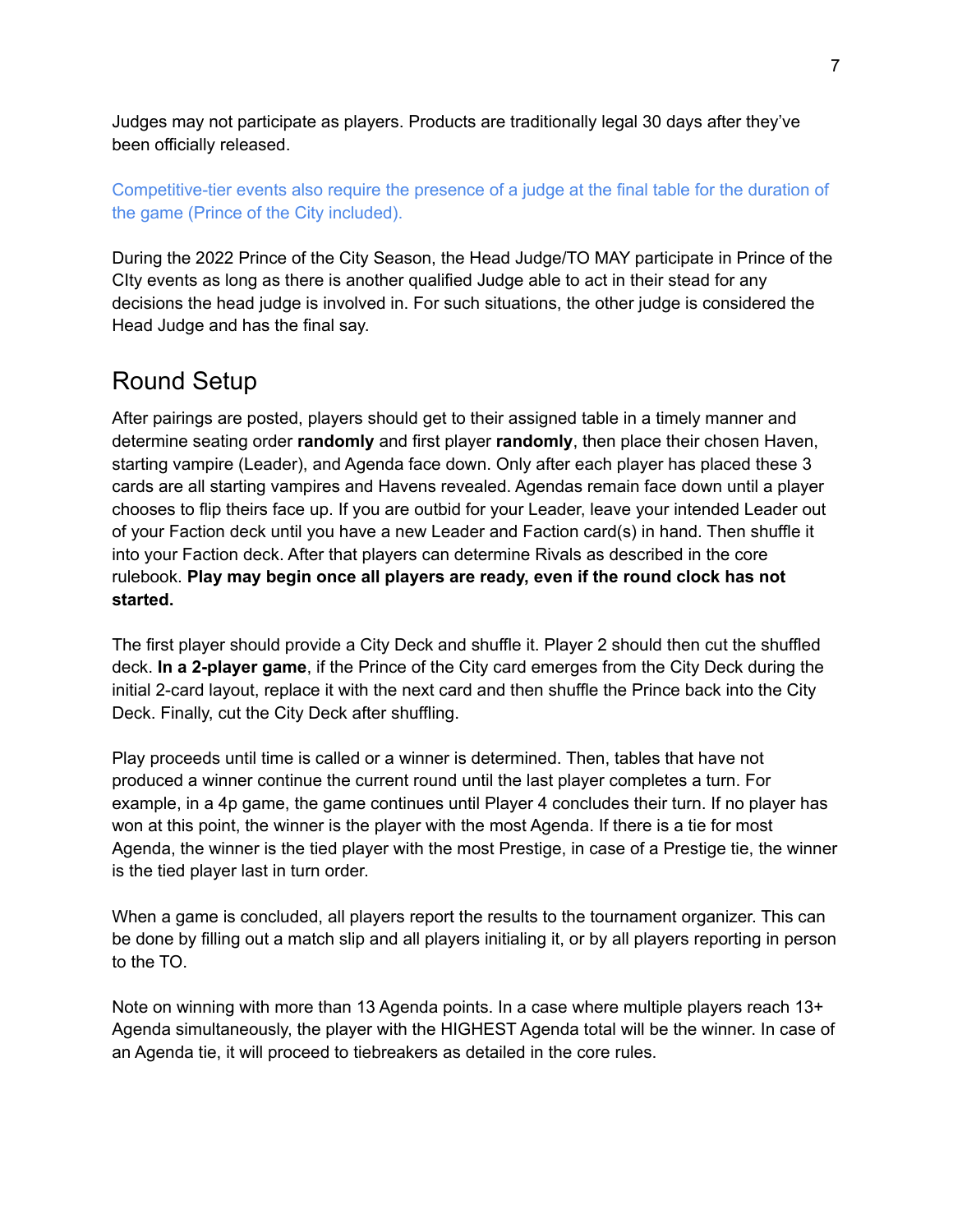Judges may not participate as players. Products are traditionally legal 30 days after they've been officially released.

Competitive-tier events also require the presence of a judge at the final table for the duration of the game (Prince of the City included).

During the 2022 Prince of the City Season, the Head Judge/TO MAY participate in Prince of the CIty events as long as there is another qualified Judge able to act in their stead for any decisions the head judge is involved in. For such situations, the other judge is considered the Head Judge and has the final say.

### Round Setup

After pairings are posted, players should get to their assigned table in a timely manner and determine seating order **randomly** and first player **randomly**, then place their chosen Haven, starting vampire (Leader), and Agenda face down. Only after each player has placed these 3 cards are all starting vampires and Havens revealed. Agendas remain face down until a player chooses to flip theirs face up. If you are outbid for your Leader, leave your intended Leader out of your Faction deck until you have a new Leader and Faction card(s) in hand. Then shuffle it into your Faction deck. After that players can determine Rivals as described in the core rulebook. **Play may begin once all players are ready, even if the round clock has not started.**

The first player should provide a City Deck and shuffle it. Player 2 should then cut the shuffled deck. **In a 2-player game**, if the Prince of the City card emerges from the City Deck during the initial 2-card layout, replace it with the next card and then shuffle the Prince back into the City Deck. Finally, cut the City Deck after shuffling.

Play proceeds until time is called or a winner is determined. Then, tables that have not produced a winner continue the current round until the last player completes a turn. For example, in a 4p game, the game continues until Player 4 concludes their turn. If no player has won at this point, the winner is the player with the most Agenda. If there is a tie for most Agenda, the winner is the tied player with the most Prestige, in case of a Prestige tie, the winner is the tied player last in turn order.

When a game is concluded, all players report the results to the tournament organizer. This can be done by filling out a match slip and all players initialing it, or by all players reporting in person to the TO.

Note on winning with more than 13 Agenda points. In a case where multiple players reach 13+ Agenda simultaneously, the player with the HIGHEST Agenda total will be the winner. In case of an Agenda tie, it will proceed to tiebreakers as detailed in the core rules.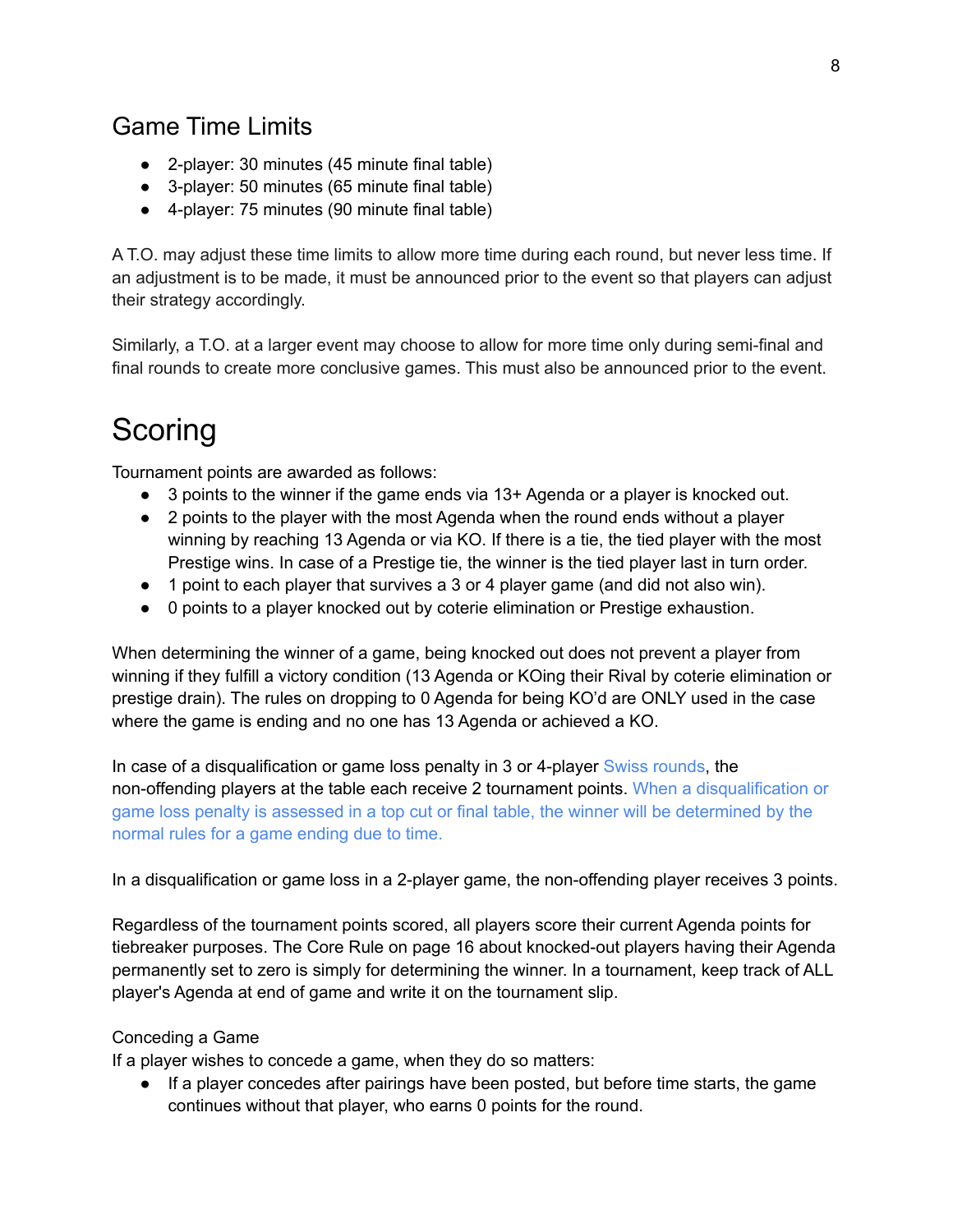### Game Time Limits

- 2-player: 30 minutes (45 minute final table)
- 3-player: 50 minutes (65 minute final table)
- 4-player: 75 minutes (90 minute final table)

A T.O. may adjust these time limits to allow more time during each round, but never less time. If an adjustment is to be made, it must be announced prior to the event so that players can adjust their strategy accordingly.

Similarly, a T.O. at a larger event may choose to allow for more time only during semi-final and final rounds to create more conclusive games. This must also be announced prior to the event.

## Scoring

Tournament points are awarded as follows:

- 3 points to the winner if the game ends via 13+ Agenda or a player is knocked out.
- 2 points to the player with the most Agenda when the round ends without a player winning by reaching 13 Agenda or via KO. If there is a tie, the tied player with the most Prestige wins. In case of a Prestige tie, the winner is the tied player last in turn order.
- 1 point to each player that survives a 3 or 4 player game (and did not also win).
- 0 points to a player knocked out by coterie elimination or Prestige exhaustion.

When determining the winner of a game, being knocked out does not prevent a player from winning if they fulfill a victory condition (13 Agenda or KOing their Rival by coterie elimination or prestige drain). The rules on dropping to 0 Agenda for being KO'd are ONLY used in the case where the game is ending and no one has 13 Agenda or achieved a KO.

In case of a disqualification or game loss penalty in 3 or 4-player Swiss rounds, the non-offending players at the table each receive 2 tournament points. When a disqualification or game loss penalty is assessed in a top cut or final table, the winner will be determined by the normal rules for a game ending due to time.

In a disqualification or game loss in a 2-player game, the non-offending player receives 3 points.

Regardless of the tournament points scored, all players score their current Agenda points for tiebreaker purposes. The Core Rule on page 16 about knocked-out players having their Agenda permanently set to zero is simply for determining the winner. In a tournament, keep track of ALL player's Agenda at end of game and write it on the tournament slip.

#### Conceding a Game

If a player wishes to concede a game, when they do so matters:

● If a player concedes after pairings have been posted, but before time starts, the game continues without that player, who earns 0 points for the round.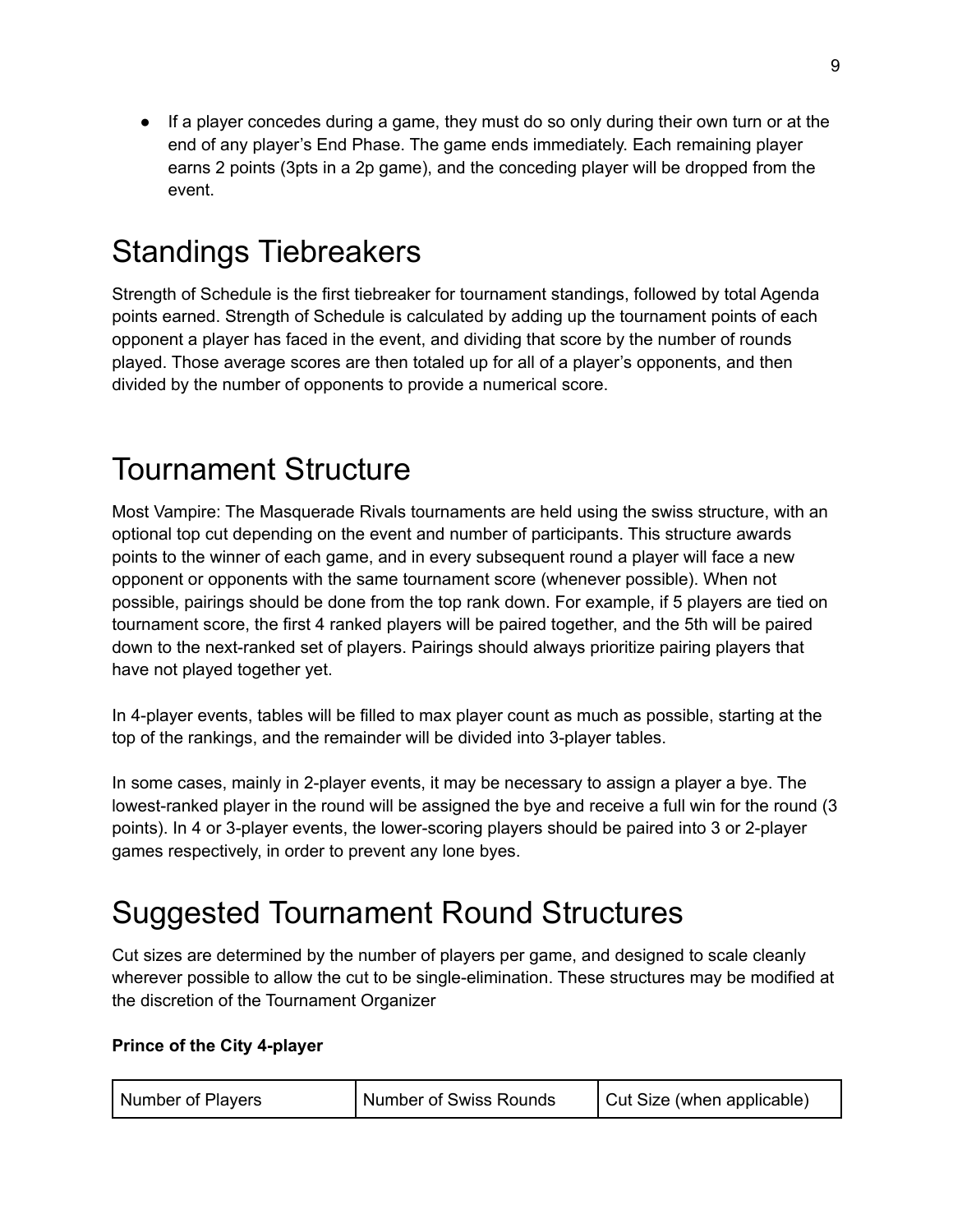● If a player concedes during a game, they must do so only during their own turn or at the end of any player's End Phase. The game ends immediately. Each remaining player earns 2 points (3pts in a 2p game), and the conceding player will be dropped from the event.

## Standings Tiebreakers

Strength of Schedule is the first tiebreaker for tournament standings, followed by total Agenda points earned. Strength of Schedule is calculated by adding up the tournament points of each opponent a player has faced in the event, and dividing that score by the number of rounds played. Those average scores are then totaled up for all of a player's opponents, and then divided by the number of opponents to provide a numerical score.

## Tournament Structure

Most Vampire: The Masquerade Rivals tournaments are held using the swiss structure, with an optional top cut depending on the event and number of participants. This structure awards points to the winner of each game, and in every subsequent round a player will face a new opponent or opponents with the same tournament score (whenever possible). When not possible, pairings should be done from the top rank down. For example, if 5 players are tied on tournament score, the first 4 ranked players will be paired together, and the 5th will be paired down to the next-ranked set of players. Pairings should always prioritize pairing players that have not played together yet.

In 4-player events, tables will be filled to max player count as much as possible, starting at the top of the rankings, and the remainder will be divided into 3-player tables.

In some cases, mainly in 2-player events, it may be necessary to assign a player a bye. The lowest-ranked player in the round will be assigned the bye and receive a full win for the round (3 points). In 4 or 3-player events, the lower-scoring players should be paired into 3 or 2-player games respectively, in order to prevent any lone byes.

## Suggested Tournament Round Structures

Cut sizes are determined by the number of players per game, and designed to scale cleanly wherever possible to allow the cut to be single-elimination. These structures may be modified at the discretion of the Tournament Organizer

#### **Prince of the City 4-player**

| Number of Players | <b>Number of Swiss Rounds</b> | Cut Size (when applicable) |
|-------------------|-------------------------------|----------------------------|
|-------------------|-------------------------------|----------------------------|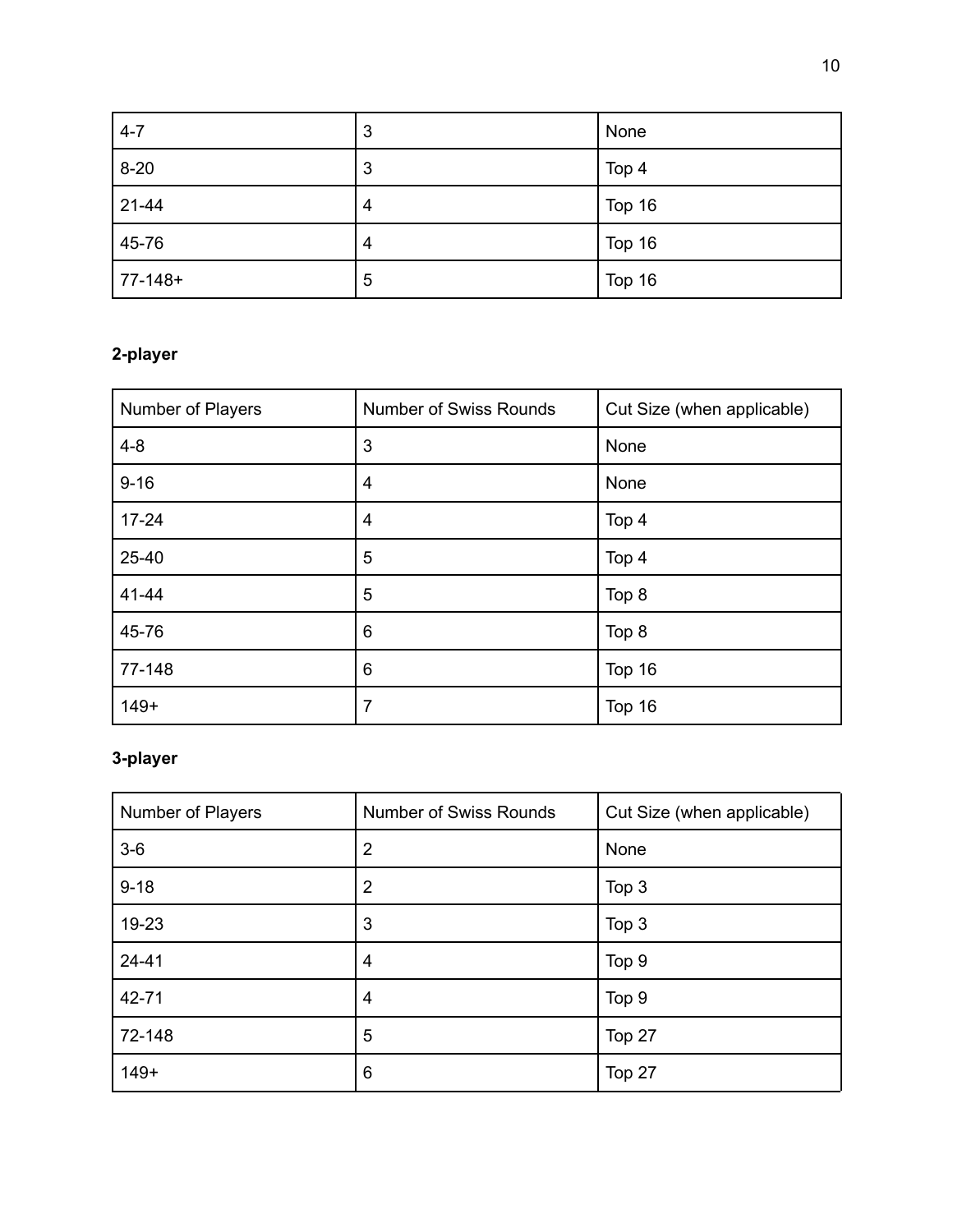| $4-7$     | 3 | None   |
|-----------|---|--------|
| $8 - 20$  | 3 | Top 4  |
| 21-44     | 4 | Top 16 |
| 45-76     | 4 | Top 16 |
| $77-148+$ | 5 | Top 16 |

### **2-player**

| Number of Players | <b>Number of Swiss Rounds</b> | Cut Size (when applicable) |
|-------------------|-------------------------------|----------------------------|
| $4 - 8$           | 3                             | None                       |
| $9 - 16$          | 4                             | None                       |
| $17 - 24$         | 4                             | Top 4                      |
| 25-40             | 5                             | Top 4                      |
| 41-44             | 5                             | Top 8                      |
| 45-76             | 6                             | Top 8                      |
| 77-148            | 6                             | Top 16                     |
| $149+$            | 7                             | Top 16                     |

### **3-player**

| Number of Players | <b>Number of Swiss Rounds</b> | Cut Size (when applicable) |
|-------------------|-------------------------------|----------------------------|
| $3-6$             | $\overline{2}$                | None                       |
| $9 - 18$          | $\overline{2}$                | Top 3                      |
| 19-23             | 3                             | Top 3                      |
| $24 - 41$         | 4                             | Top 9                      |
| 42-71             | 4                             | Top 9                      |
| 72-148            | 5                             | Top 27                     |
| $149+$            | 6                             | Top 27                     |